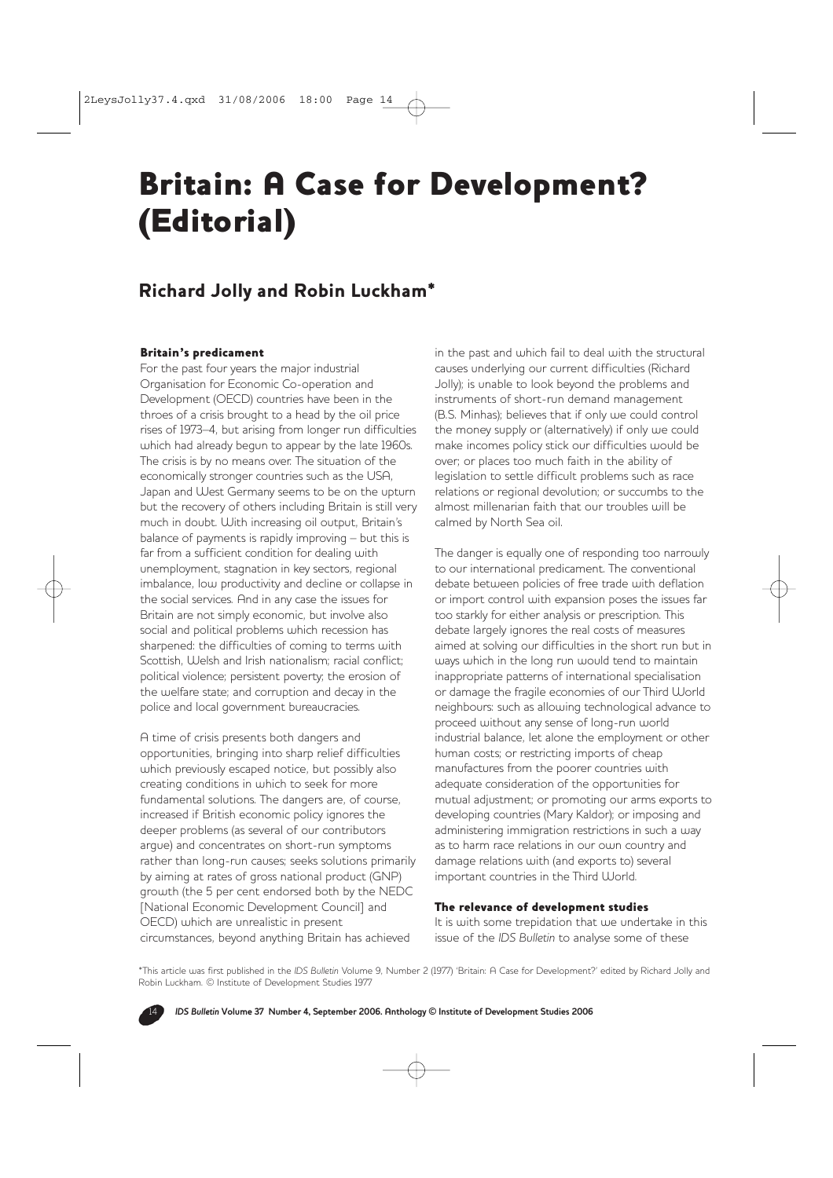# Britain: A Case for Development? (Editorial)

# Richard Jolly and Robin Luckham\*

### Britain's predicament

For the past four years the major industrial Organisation for Economic Co-operation and Development (OECD) countries have been in the throes of a crisis brought to a head by the oil price rises of 1973–4, but arising from longer run difficulties which had already begun to appear by the late 1960s. The crisis is by no means over. The situation of the economically stronger countries such as the USA, Japan and West Germany seems to be on the upturn but the recovery of others including Britain is still very much in doubt. With increasing oil output, Britain's balance of payments is rapidly improving – but this is far from a sufficient condition for dealing with unemployment, stagnation in key sectors, regional imbalance, low productivity and decline or collapse in the social services. And in any case the issues for Britain are not simply economic, but involve also social and political problems which recession has sharpened: the difficulties of coming to terms with Scottish, Welsh and Irish nationalism; racial conflict; political violence; persistent poverty; the erosion of the welfare state; and corruption and decay in the police and local government bureaucracies.

A time of crisis presents both dangers and opportunities, bringing into sharp relief difficulties which previously escaped notice, but possibly also creating conditions in which to seek for more fundamental solutions. The dangers are, of course, increased if British economic policy ignores the deeper problems (as several of our contributors argue) and concentrates on short-run symptoms rather than long-run causes; seeks solutions primarily by aiming at rates of gross national product (GNP) growth (the 5 per cent endorsed both by the NEDC [National Economic Development Council] and OECD) which are unrealistic in present circumstances, beyond anything Britain has achieved

in the past and which fail to deal with the structural causes underlying our current difficulties (Richard Jolly); is unable to look beyond the problems and instruments of short-run demand management (B.S. Minhas); believes that if only we could control the money supply or (alternatively) if only we could make incomes policy stick our difficulties would be over; or places too much faith in the ability of legislation to settle difficult problems such as race relations or regional devolution; or succumbs to the almost millenarian faith that our troubles will be calmed by North Sea oil.

The danger is equally one of responding too narrowly to our international predicament. The conventional debate between policies of free trade with deflation or import control with expansion poses the issues far too starkly for either analysis or prescription. This debate largely ignores the real costs of measures aimed at solving our difficulties in the short run but in ways which in the long run would tend to maintain inappropriate patterns of international specialisation or damage the fragile economies of our Third World neighbours: such as allowing technological advance to proceed without any sense of long-run world industrial balance, let alone the employment or other human costs; or restricting imports of cheap manufactures from the poorer countries with adequate consideration of the opportunities for mutual adjustment; or promoting our arms exports to developing countries (Mary Kaldor); or imposing and administering immigration restrictions in such a way as to harm race relations in our own country and damage relations with (and exports to) several important countries in the Third World.

## The relevance of development studies

It is with some trepidation that we undertake in this issue of the *IDS Bulletin* to analyse some of these

\*This article was first published in the *IDS Bulletin* Volume 9, Number 2 (1977) 'Britain: A Case for Development?' edited by Richard Jolly and Robin Luckham. © Institute of Development Studies 1977

 $\perp$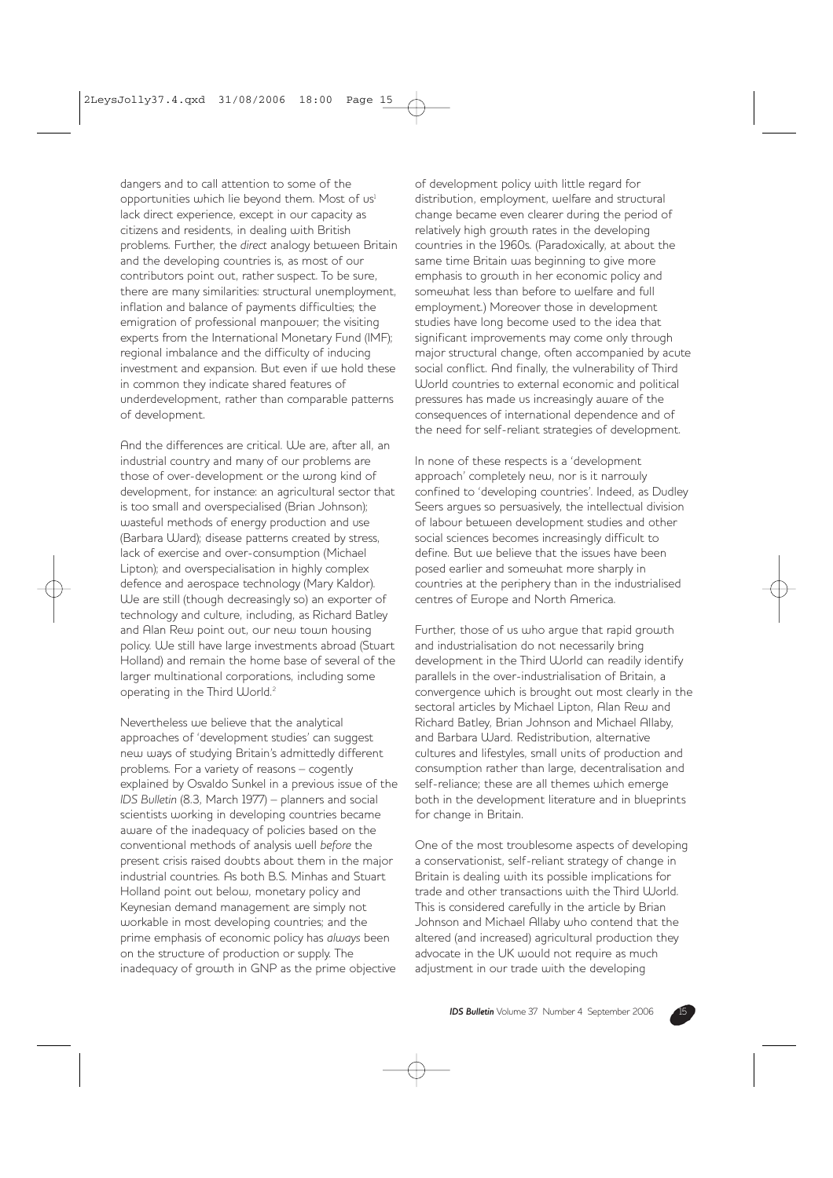dangers and to call attention to some of the opportunities which lie beyond them. Most of us<sup>1</sup> lack direct experience, except in our capacity as citizens and residents, in dealing with British problems. Further, the *direct* analogy between Britain and the developing countries is, as most of our contributors point out, rather suspect. To be sure, there are many similarities: structural unemployment, inflation and balance of payments difficulties; the emigration of professional manpower; the visiting experts from the International Monetary Fund (IMF); regional imbalance and the difficulty of inducing investment and expansion. But even if we hold these in common they indicate shared features of underdevelopment, rather than comparable patterns of development.

And the differences are critical. We are, after all, an industrial country and many of our problems are those of over-development or the wrong kind of development, for instance: an agricultural sector that is too small and overspecialised (Brian Johnson); wasteful methods of energy production and use (Barbara Ward); disease patterns created by stress, lack of exercise and over-consumption (Michael Lipton); and overspecialisation in highly complex defence and aerospace technology (Mary Kaldor). We are still (though decreasingly so) an exporter of technology and culture, including, as Richard Batley and Alan Rew point out, our new town housing policy. We still have large investments abroad (Stuart Holland) and remain the home base of several of the larger multinational corporations, including some operating in the Third World.<sup>2</sup>

Nevertheless we believe that the analytical approaches of 'development studies' can suggest new ways of studying Britain's admittedly different problems. For a variety of reasons – cogently explained by Osvaldo Sunkel in a previous issue of the *IDS Bulletin* (8.3, March 1977) – planners and social scientists working in developing countries became aware of the inadequacy of policies based on the conventional methods of analysis well *before* the present crisis raised doubts about them in the major industrial countries. As both B.S. Minhas and Stuart Holland point out below, monetary policy and Keynesian demand management are simply not workable in most developing countries; and the prime emphasis of economic policy has *always* been on the structure of production or supply. The inadequacy of growth in GNP as the prime objective

of development policy with little regard for distribution, employment, welfare and structural change became even clearer during the period of relatively high growth rates in the developing countries in the 1960s. (Paradoxically, at about the same time Britain was beginning to give more emphasis to growth in her economic policy and somewhat less than before to welfare and full employment.) Moreover those in development studies have long become used to the idea that significant improvements may come only through major structural change, often accompanied by acute social conflict. And finally, the vulnerability of Third World countries to external economic and political pressures has made us increasingly aware of the consequences of international dependence and of the need for self-reliant strategies of development.

In none of these respects is a 'development approach' completely new, nor is it narrowly confined to 'developing countries'. Indeed, as Dudley Seers argues so persuasively, the intellectual division of labour between development studies and other social sciences becomes increasingly difficult to define. But we believe that the issues have been posed earlier and somewhat more sharply in countries at the periphery than in the industrialised centres of Europe and North America.

Further, those of us who argue that rapid growth and industrialisation do not necessarily bring development in the Third World can readily identify parallels in the over-industrialisation of Britain, a convergence which is brought out most clearly in the sectoral articles by Michael Lipton, Alan Rew and Richard Batley, Brian Johnson and Michael Allaby, and Barbara Ward. Redistribution, alternative cultures and lifestyles, small units of production and consumption rather than large, decentralisation and self-reliance; these are all themes which emerge both in the development literature and in blueprints for change in Britain.

One of the most troublesome aspects of developing a conservationist, self-reliant strategy of change in Britain is dealing with its possible implications for trade and other transactions with the Third World. This is considered carefully in the article by Brian Johnson and Michael Allaby who contend that the altered (and increased) agricultural production they advocate in the UK would not require as much adjustment in our trade with the developing

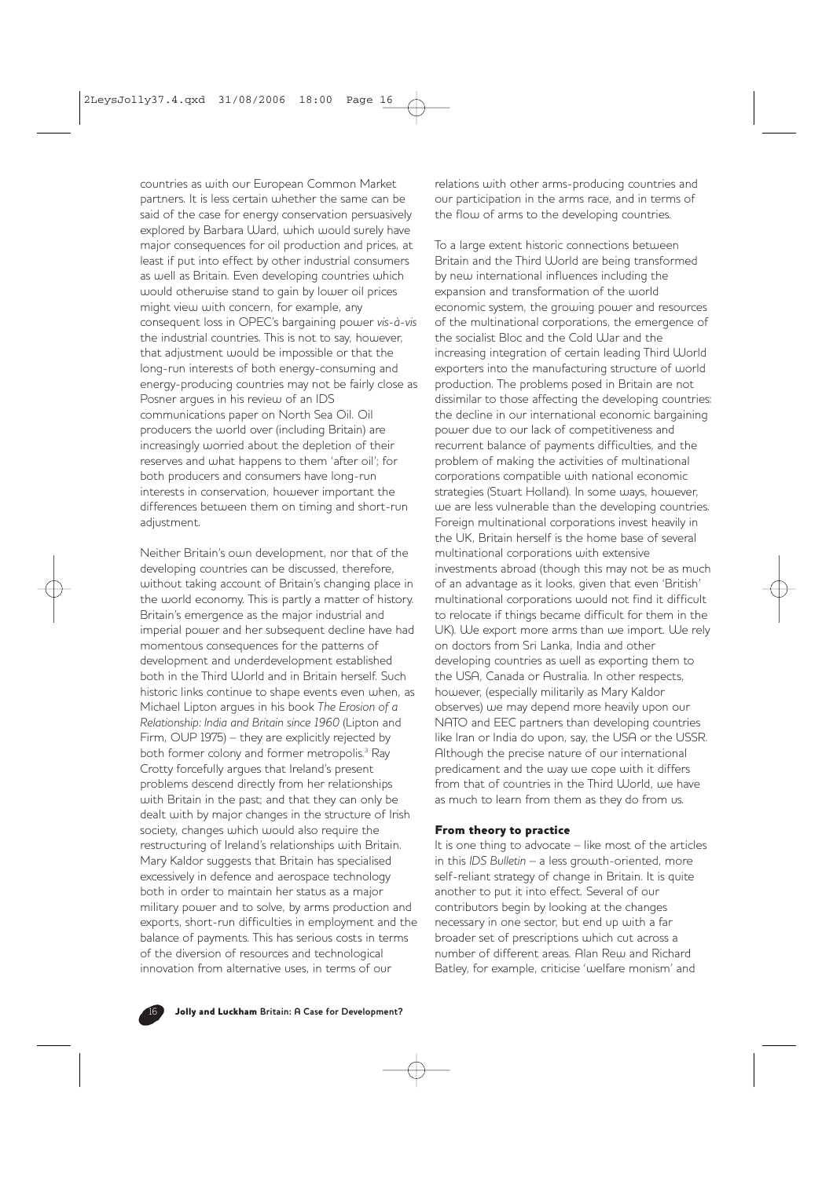countries as with our European Common Market partners. It is less certain whether the same can be said of the case for energy conservation persuasively explored by Barbara Ward, which would surely have major consequences for oil production and prices, at least if put into effect by other industrial consumers as well as Britain. Even developing countries which would otherwise stand to gain by lower oil prices might view with concern, for example, any consequent loss in OPEC's bargaining power *vis-à-vis* the industrial countries. This is not to say, however, that adjustment would be impossible or that the long-run interests of both energy-consuming and energy-producing countries may not be fairly close as Posner argues in his review of an IDS communications paper on North Sea Oil. Oil producers the world over (including Britain) are increasingly worried about the depletion of their reserves and what happens to them 'after oil'; for both producers and consumers have long-run interests in conservation, however important the differences between them on timing and short-run adjustment.

Neither Britain's own development, nor that of the developing countries can be discussed, therefore, without taking account of Britain's changing place in the world economy. This is partly a matter of history. Britain's emergence as the major industrial and imperial power and her subsequent decline have had momentous consequences for the patterns of development and underdevelopment established both in the Third World and in Britain herself. Such historic links continue to shape events even when, as Michael Lipton argues in his book *The Erosion of a Relationship: India and Britain since 1960* (Lipton and Firm, OUP 1975) – they are explicitly rejected by both former colony and former metropolis.<sup>3</sup> Ray Crotty forcefully argues that Ireland's present problems descend directly from her relationships with Britain in the past; and that they can only be dealt with by major changes in the structure of Irish society, changes which would also require the restructuring of Ireland's relationships with Britain. Mary Kaldor suggests that Britain has specialised excessively in defence and aerospace technology both in order to maintain her status as a major military power and to solve, by arms production and exports, short-run difficulties in employment and the balance of payments. This has serious costs in terms of the diversion of resources and technological innovation from alternative uses, in terms of our

relations with other arms-producing countries and our participation in the arms race, and in terms of the flow of arms to the developing countries.

To a large extent historic connections between Britain and the Third World are being transformed by new international influences including the expansion and transformation of the world economic system, the growing power and resources of the multinational corporations, the emergence of the socialist Bloc and the Cold War and the increasing integration of certain leading Third World exporters into the manufacturing structure of world production. The problems posed in Britain are not dissimilar to those affecting the developing countries: the decline in our international economic bargaining power due to our lack of competitiveness and recurrent balance of payments difficulties, and the problem of making the activities of multinational corporations compatible with national economic strategies (Stuart Holland). In some ways, however, we are less vulnerable than the developing countries. Foreign multinational corporations invest heavily in the UK, Britain herself is the home base of several multinational corporations with extensive investments abroad (though this may not be as much of an advantage as it looks, given that even 'British' multinational corporations would not find it difficult to relocate if things became difficult for them in the UK). We export more arms than we import. We rely on doctors from Sri Lanka, India and other developing countries as well as exporting them to the USA, Canada or Australia. In other respects, however, (especially militarily as Mary Kaldor observes) we may depend more heavily upon our NATO and EEC partners than developing countries like Iran or India do upon, say, the USA or the USSR. Although the precise nature of our international predicament and the way we cope with it differs from that of countries in the Third World, we have as much to learn from them as they do from us.

#### From theory to practice

 $\perp$ 

It is one thing to advocate – like most of the articles in this *IDS Bulletin* – a less growth-oriented, more self-reliant strategy of change in Britain. It is quite another to put it into effect. Several of our contributors begin by looking at the changes necessary in one sector, but end up with a far broader set of prescriptions which cut across a number of different areas. Alan Rew and Richard Batley, for example, criticise 'welfare monism' and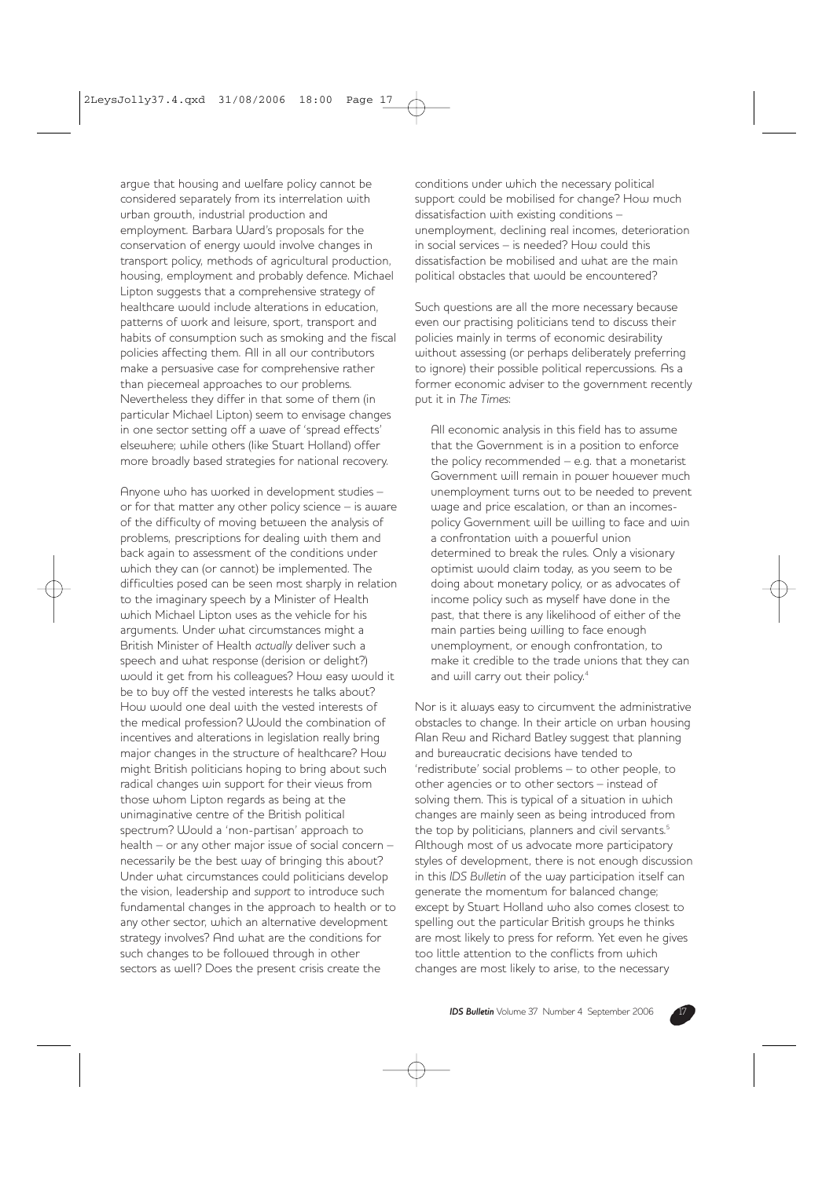argue that housing and welfare policy cannot be considered separately from its interrelation with urban growth, industrial production and employment. Barbara Ward's proposals for the conservation of energy would involve changes in transport policy, methods of agricultural production, housing, employment and probably defence. Michael Lipton suggests that a comprehensive strategy of healthcare would include alterations in education, patterns of work and leisure, sport, transport and habits of consumption such as smoking and the fiscal policies affecting them. All in all our contributors make a persuasive case for comprehensive rather than piecemeal approaches to our problems. Nevertheless they differ in that some of them (in particular Michael Lipton) seem to envisage changes in one sector setting off a wave of 'spread effects' elsewhere; while others (like Stuart Holland) offer more broadly based strategies for national recovery.

Anyone who has worked in development studies – or for that matter any other policy science – is aware of the difficulty of moving between the analysis of problems, prescriptions for dealing with them and back again to assessment of the conditions under which they can (or cannot) be implemented. The difficulties posed can be seen most sharply in relation to the imaginary speech by a Minister of Health which Michael Lipton uses as the vehicle for his arguments. Under what circumstances might a British Minister of Health *actually* deliver such a speech and what response (derision or delight?) would it get from his colleagues? How easy would it be to buy off the vested interests he talks about? How would one deal with the vested interests of the medical profession? Would the combination of incentives and alterations in legislation really bring major changes in the structure of healthcare? How might British politicians hoping to bring about such radical changes win support for their views from those whom Lipton regards as being at the unimaginative centre of the British political spectrum? Would a 'non-partisan' approach to health – or any other major issue of social concern – necessarily be the best way of bringing this about? Under what circumstances could politicians develop the vision, leadership and *support* to introduce such fundamental changes in the approach to health or to any other sector, which an alternative development strategy involves? And what are the conditions for such changes to be followed through in other sectors as well? Does the present crisis create the

conditions under which the necessary political support could be mobilised for change? How much dissatisfaction with existing conditions – unemployment, declining real incomes, deterioration in social services – is needed? How could this dissatisfaction be mobilised and what are the main political obstacles that would be encountered?

Such questions are all the more necessary because even our practising politicians tend to discuss their policies mainly in terms of economic desirability without assessing (or perhaps deliberately preferring to ignore) their possible political repercussions. As a former economic adviser to the government recently put it in *The Times*:

All economic analysis in this field has to assume that the Government is in a position to enforce the policy recommended  $-$  e.g. that a monetarist Government will remain in power however much unemployment turns out to be needed to prevent wage and price escalation, or than an incomespolicy Government will be willing to face and win a confrontation with a powerful union determined to break the rules. Only a visionary optimist would claim today, as you seem to be doing about monetary policy, or as advocates of income policy such as myself have done in the past, that there is any likelihood of either of the main parties being willing to face enough unemployment, or enough confrontation, to make it credible to the trade unions that they can and will carry out their policy.<sup>4</sup>

Nor is it always easy to circumvent the administrative obstacles to change. In their article on urban housing Alan Rew and Richard Batley suggest that planning and bureaucratic decisions have tended to 'redistribute' social problems – to other people, to other agencies or to other sectors – instead of solving them. This is typical of a situation in which changes are mainly seen as being introduced from the top by politicians, planners and civil servants.<sup>5</sup> Although most of us advocate more participatory styles of development, there is not enough discussion in this *IDS Bulletin* of the way participation itself can generate the momentum for balanced change; except by Stuart Holland who also comes closest to spelling out the particular British groups he thinks are most likely to press for reform. Yet even he gives too little attention to the conflicts from which changes are most likely to arise, to the necessary

 $\perp$